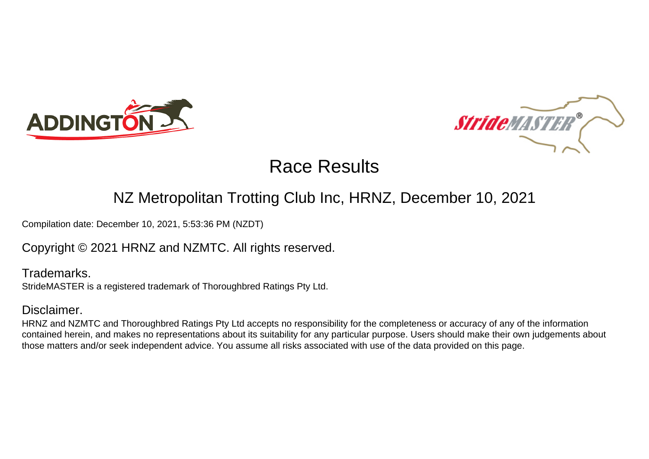



### NZ Metropolitan Trotting Club Inc, HRNZ, December 10, 2021

Compilation date: December 10, 2021, 5:53:36 PM (NZDT)

### Copyright © 2021 HRNZ and NZMTC. All rights reserved.

Trademarks. StrideMASTER is a registered trademark of Thoroughbred Ratings Pty Ltd.

### Disclaimer.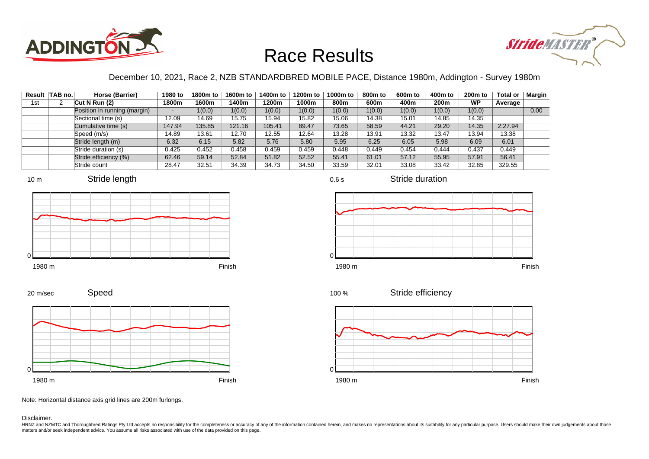



### December 10, 2021, Race 2, NZB STANDARDBRED MOBILE PACE, Distance 1980m, Addington - Survey 1980m

|     | Result TAB no. | Horse (Barrier)              | 1980 to | 1800m to | 1600m to | 1400m to | 1200m to | 1000m to | 800m to | 600 <sub>m</sub> to | 400m to | 200 <sub>m</sub> to | <b>Total or</b> | Margin |
|-----|----------------|------------------------------|---------|----------|----------|----------|----------|----------|---------|---------------------|---------|---------------------|-----------------|--------|
| 1st |                | Cut N Run $(2)$              | 1800m   | 1600m    | 1400m    | 1200m    | 1000m    | 800m     | 600m    | 400m                | 200m    | WP                  | Average         |        |
|     |                | Position in running (margin) |         | 1(0.0)   | 1(0.0)   | 1(0.0)   | 1(0.0)   | 1(0.0)   | 1(0.0)  | 1(0.0)              | 1(0.0)  | 1(0.0)              |                 | 0.00   |
|     |                | Sectional time (s)           | 12.09   | 14.69    | 15.75    | 15.94    | 15.82    | 15.06    | 14.38   | 15.01               | 14.85   | 14.35               |                 |        |
|     |                | Cumulative time (s)          | 147.94  | 135.85   | 121.16   | 105.41   | 89.47    | 73.65    | 58.59   | 44.21               | 29.20   | 14.35               | 2:27.94         |        |
|     |                | Speed (m/s)                  | 14.89   | 13.61    | 12.70    | 12.55    | 12.64    | 13.28    | 13.91   | 13.32               | 13.47   | 13.94               | 13.38           |        |
|     |                | Stride length (m)            | 6.32    | 6.15     | 5.82     | 5.76     | 5.80     | 5.95     | 6.25    | 6.05                | 5.98    | 6.09                | 6.01            |        |
|     |                | Stride duration (s)          | 0.425   | 0.452    | 0.458    | 0.459    | 0.459    | 0.448    | 0.449   | 0.454               | 0.444   | 0.437               | 0.449           |        |
|     |                | Stride efficiency (%)        | 62.46   | 59.14    | 52.84    | 51.82    | 52.52    | 55.41    | 61.01   | 57.12               | 55.95   | 57.91               | 56.41           |        |
|     |                | Stride count                 | 28.47   | 32.51    | 34.39    | 34.73    | 34.50    | 33.59    | 32.01   | 33.08               | 33.42   | 32.85               | 329.55          |        |













Stride efficiency 100 %



Speed 20 m/sec



Note: Horizontal distance axis grid lines are 200m furlongs.

Disclaimer.

HRNZ and NZMTC and Thoroughbred Ratings Pty Ltd accepts no responsibility for the completeness or accuracy of any of the information contained herein, and makes no representations about its suitability for any particular p matters and/or seek independent advice. You assume all risks associated with use of the data provided on this page.

0.6 s

Stride duration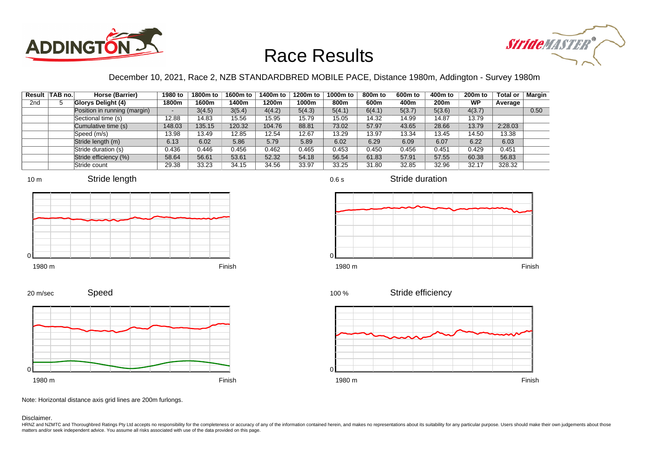



### December 10, 2021, Race 2, NZB STANDARDBRED MOBILE PACE, Distance 1980m, Addington - Survey 1980m

0.6 s

 $\Omega$ 

|                 | Result TAB no. | Horse (Barrier)              | 1980 to | 1800m to | 1600m to | 1400m to | 1200m to | 1000m to | 800m to | 600 <sub>m</sub> to | 400m to          | $200m$ to | <b>Total or</b> | Margin |
|-----------------|----------------|------------------------------|---------|----------|----------|----------|----------|----------|---------|---------------------|------------------|-----------|-----------------|--------|
| 2 <sub>nd</sub> |                | Glorys Delight (4)           | 1800m   | 1600m    | 1400m    | 1200m    | 1000m    | 800m     | 600m    | 400m                | 200 <sub>m</sub> | <b>WP</b> | Average         |        |
|                 |                | Position in running (margin) |         | 3(4.5)   | 3(5.4)   | 4(4.2)   | 5(4.3)   | 5(4.1)   | 6(4.1)  | 5(3.7)              | 5(3.6)           | 4(3.7)    |                 | 0.50   |
|                 |                | Sectional time (s)           | 12.88   | 14.83    | 15.56    | 15.95    | 15.79    | 15.05    | 14.32   | 14.99               | 14.87            | 13.79     |                 |        |
|                 |                | Cumulative time (s)          | 148.03  | 135.15   | 120.32   | 104.76   | 88.81    | 73.02    | 57.97   | 43.65               | 28.66            | 13.79     | 2:28.03         |        |
|                 |                | Speed (m/s)                  | 13.98   | 13.49    | 12.85    | 12.54    | 12.67    | 13.29    | 13.97   | 13.34               | 13.45            | 14.50     | 13.38           |        |
|                 |                | Stride length (m)            | 6.13    | 6.02     | 5.86     | 5.79     | 5.89     | 6.02     | 6.29    | 6.09                | 6.07             | 6.22      | 6.03            |        |
|                 |                | Stride duration (s)          | 0.436   | 0.446    | 0.456    | 0.462    | 0.465    | 0.453    | 0.450   | 0.456               | 0.451            | 0.429     | 0.451           |        |
|                 |                | Stride efficiency (%)        | 58.64   | 56.61    | 53.61    | 52.32    | 54.18    | 56.54    | 61.83   | 57.91               | 57.55            | 60.38     | 56.83           |        |
|                 |                | Stride count                 | 29.38   | 33.23    | 34.15    | 34.56    | 33.97    | 33.25    | 31.80   | 32.85               | 32.96            | 32.17     | 328.32          |        |







Stride duration











Speed 20 m/sec



Note: Horizontal distance axis grid lines are 200m furlongs.

#### Disclaimer.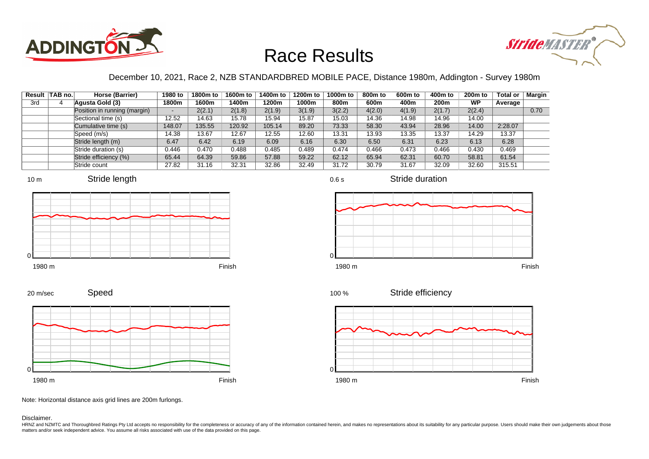



### December 10, 2021, Race 2, NZB STANDARDBRED MOBILE PACE, Distance 1980m, Addington - Survey 1980m

|     | Result TAB no. | Horse (Barrier)              | 1980 to                  | 1800m to | 1600m to | 1400m to | 1200m to | 1000m to | 800m to | 600 <sub>m</sub> to | 400m to | 200 <sub>m</sub> to | <b>Total or</b> | Margin |
|-----|----------------|------------------------------|--------------------------|----------|----------|----------|----------|----------|---------|---------------------|---------|---------------------|-----------------|--------|
| 3rd |                | Agusta Gold (3)              | 1800m                    | 1600m    | 1400m    | 1200m    | 1000m    | 800m     | 600m    | 400m                | 200m    | <b>WP</b>           | Average         |        |
|     |                | Position in running (margin) | $\overline{\phantom{0}}$ | 2(2.1)   | 2(1.8)   | 2(1.9)   | 3(1.9)   | 3(2.2)   | 4(2.0)  | 4(1.9)              | 2(1.7)  | 2(2.4)              |                 | 0.70   |
|     |                | Sectional time (s)           | 12.52                    | 14.63    | 15.78    | 15.94    | 15.87    | 15.03    | 14.36   | 14.98               | 14.96   | 14.00               |                 |        |
|     |                | Cumulative time (s)          | 148.07                   | 135.55   | 120.92   | 105.14   | 89.20    | 73.33    | 58.30   | 43.94               | 28.96   | 14.00               | 2:28.07         |        |
|     |                | Speed (m/s)                  | 14.38                    | 13.67    | 12.67    | 12.55    | 12.60    | 13.31    | 13.93   | 13.35               | 13.37   | 14.29               | 13.37           |        |
|     |                | Stride length (m)            | 6.47                     | 6.42     | 6.19     | 6.09     | 6.16     | 6.30     | 6.50    | 6.31                | 6.23    | 6.13                | 6.28            |        |
|     |                | Stride duration (s)          | 0.446                    | 0.470    | 0.488    | 0.485    | 0.489    | 0.474    | 0.466   | 0.473               | 0.466   | 0.430               | 0.469           |        |
|     |                | Stride efficiency (%)        | 65.44                    | 64.39    | 59.86    | 57.88    | 59.22    | 62.12    | 65.94   | 62.31               | 60.70   | 58.81               | 61.54           |        |
|     |                | Stride count                 | 27.82                    | 31.16    | 32.31    | 32.86    | 32.49    | 31.72    | 30.79   | 31.67               | 32.09   | 32.60               | 315.51          |        |













Speed 20 m/sec



Note: Horizontal distance axis grid lines are 200m furlongs.

#### Disclaimer.

HRNZ and NZMTC and Thoroughbred Ratings Pty Ltd accepts no responsibility for the completeness or accuracy of any of the information contained herein, and makes no representations about its suitability for any particular p matters and/or seek independent advice. You assume all risks associated with use of the data provided on this page.

0.6 s

Stride duration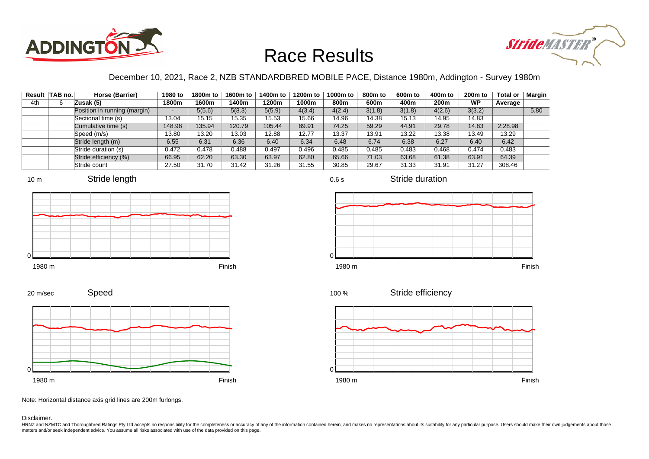



### December 10, 2021, Race 2, NZB STANDARDBRED MOBILE PACE, Distance 1980m, Addington - Survey 1980m

|     | Result TAB no. | Horse (Barrier)              | 1980 to | 1800m to | 1600m to | 1400m to | 1200m to | 1000m to | 800m to | 600 <sub>m</sub> to | 400m to | 200 <sub>m</sub> to | <b>Total or</b> | Margin |
|-----|----------------|------------------------------|---------|----------|----------|----------|----------|----------|---------|---------------------|---------|---------------------|-----------------|--------|
| 4th |                | Zusak (5)                    | 1800m   | 1600m    | 1400m    | 1200m    | 1000m    | 800m     | 600m    | 400m                | 200m    | WP                  | Average         |        |
|     |                | Position in running (margin) |         | 5(5.6)   | 5(8.3)   | 5(5.9)   | 4(3.4)   | 4(2.4)   | 3(1.8)  | 3(1.8)              | 4(2.6)  | 3(3.2)              |                 | 5.80   |
|     |                | Sectional time (s)           | 13.04   | 15.15    | 15.35    | 15.53    | 15.66    | 14.96    | 14.38   | 15.13               | 14.95   | 14.83               |                 |        |
|     |                | Cumulative time (s)          | 148.98  | 135.94   | 120.79   | 105.44   | 89.91    | 74.25    | 59.29   | 44.91               | 29.78   | 14.83               | 2:28.98         |        |
|     |                | Speed (m/s)                  | 13.80   | 13.20    | 13.03    | 12.88    | 12.77    | 13.37    | 13.91   | 13.22               | 13.38   | 13.49               | 13.29           |        |
|     |                | Stride length (m)            | 6.55    | 6.31     | 6.36     | 6.40     | 6.34     | 6.48     | 6.74    | 6.38                | 6.27    | 6.40                | 6.42            |        |
|     |                | Stride duration (s)          | 0.472   | 0.478    | 0.488    | 0.497    | 0.496    | 0.485    | 0.485   | 0.483               | 0.468   | 0.474               | 0.483           |        |
|     |                | Stride efficiency (%)        | 66.95   | 62.20    | 63.30    | 63.97    | 62.80    | 65.66    | 71.03   | 63.68               | 61.38   | 63.91               | 64.39           |        |
|     |                | Stride count                 | 27.50   | 31.70    | 31.42    | 31.26    | 31.55    | 30.85    | 29.67   | 31.33               | 31.91   | 31.27               | 308.46          |        |











Stride duration



Speed 20 m/sec



1980 m Finish



Note: Horizontal distance axis grid lines are 200m furlongs.

#### Disclaimer.

0

HRNZ and NZMTC and Thoroughbred Ratings Pty Ltd accepts no responsibility for the completeness or accuracy of any of the information contained herein, and makes no representations about its suitability for any particular p matters and/or seek independent advice. You assume all risks associated with use of the data provided on this page.

#### 0.6 s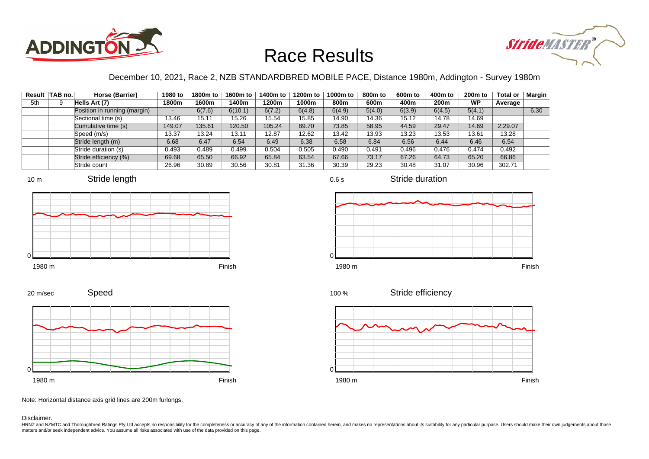



### December 10, 2021, Race 2, NZB STANDARDBRED MOBILE PACE, Distance 1980m, Addington - Survey 1980m

|     | Result TAB no. | Horse (Barrier)              | 1980 to | 1800m to | 1600m to | 1400m to | 1200m to | 1000m to | 800m to | 600 <sub>m</sub> to | 400m to          | $200m$ to | <b>Total or</b> | Margin |
|-----|----------------|------------------------------|---------|----------|----------|----------|----------|----------|---------|---------------------|------------------|-----------|-----------------|--------|
| 5th | 9              | Hells Art (7)                | 1800m   | 1600m    | 1400m    | 1200m    | 1000m    | 800m     | 600m    | 400m                | 200 <sub>m</sub> | <b>WP</b> | Average         |        |
|     |                | Position in running (margin) |         | 6(7.6)   | 6(10.1)  | 6(7.2)   | 6(4.8)   | 6(4.9)   | 5(4.0)  | 6(3.9)              | 6(4.5)           | 5(4.1)    |                 | 6.30   |
|     |                | Sectional time (s)           | 13.46   | 15.11    | 15.26    | 15.54    | 15.85    | 14.90    | 14.36   | 15.12               | 14.78            | 14.69     |                 |        |
|     |                | Cumulative time (s)          | 149.07  | 135.61   | 120.50   | 105.24   | 89.70    | 73.85    | 58.95   | 44.59               | 29.47            | 14.69     | 2:29.07         |        |
|     |                | Speed (m/s)                  | 13.37   | 13.24    | 13.11    | 12.87    | 12.62    | 13.42    | 13.93   | 13.23               | 13.53            | 13.61     | 13.28           |        |
|     |                | Stride length (m)            | 6.68    | 6.47     | 6.54     | 6.49     | 6.38     | 6.58     | 6.84    | 6.56                | 6.44             | 6.46      | 6.54            |        |
|     |                | Stride duration (s)          | 0.493   | 0.489    | 0.499    | 0.504    | 0.505    | 0.490    | 0.491   | 0.496               | 0.476            | 0.474     | 0.492           |        |
|     |                | Stride efficiency (%)        | 69.68   | 65.50    | 66.92    | 65.84    | 63.54    | 67.66    | 73.17   | 67.26               | 64.73            | 65.20     | 66.86           |        |
|     |                | Stride count                 | 26.96   | 30.89    | 30.56    | 30.81    | 31.36    | 30.39    | 29.23   | 30.48               | 31.07            | 30.96     | 302.71          |        |







0.6 s

Stride duration



100 %

Stride efficiency



Speed 20 m/sec



Note: Horizontal distance axis grid lines are 200m furlongs.

Disclaimer.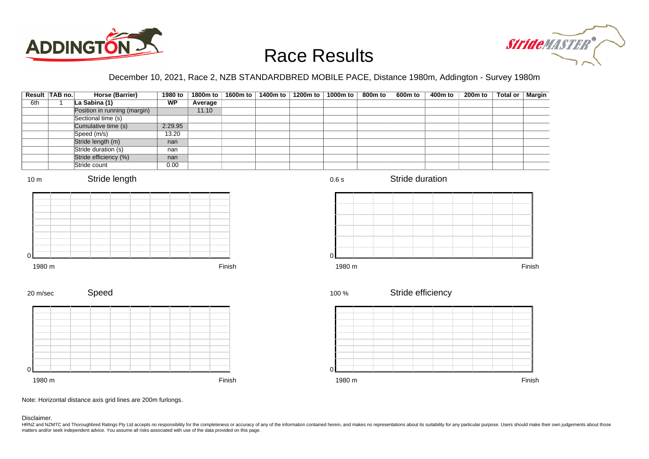



### December 10, 2021, Race 2, NZB STANDARDBRED MOBILE PACE, Distance 1980m, Addington - Survey 1980m

|                 | Result TAB no.<br><b>Horse (Barrier)</b> | 1980 to   | 1800m to | 1600m to | 1400m to | 1200m to | 1000m to    | 800 <sub>m</sub> to | $600m$ to         | 400m to | 200 <sub>m</sub> to | <b>Total or</b> | <b>Margin</b> |
|-----------------|------------------------------------------|-----------|----------|----------|----------|----------|-------------|---------------------|-------------------|---------|---------------------|-----------------|---------------|
| 6th             | La Sabina (1)<br>$\mathbf{1}$            | <b>WP</b> | Average  |          |          |          |             |                     |                   |         |                     |                 |               |
|                 | Position in running (margin)             |           | 11.10    |          |          |          |             |                     |                   |         |                     |                 |               |
|                 | Sectional time (s)                       |           |          |          |          |          |             |                     |                   |         |                     |                 |               |
|                 | Cumulative time (s)                      | 2:29.95   |          |          |          |          |             |                     |                   |         |                     |                 |               |
|                 | Speed (m/s)                              | 13.20     |          |          |          |          |             |                     |                   |         |                     |                 |               |
|                 | Stride length (m)                        | nan       |          |          |          |          |             |                     |                   |         |                     |                 |               |
|                 | Stride duration (s)                      | nan       |          |          |          |          |             |                     |                   |         |                     |                 |               |
|                 | Stride efficiency (%)                    | nan       |          |          |          |          |             |                     |                   |         |                     |                 |               |
|                 | Stride count                             | 0.00      |          |          |          |          |             |                     |                   |         |                     |                 |               |
| 10 <sub>m</sub> | Stride length                            |           |          |          |          |          | 0.6 s       |                     | Stride duration   |         |                     |                 |               |
|                 |                                          |           |          |          |          |          |             |                     |                   |         |                     |                 |               |
| 1980 m          |                                          |           |          | Finish   |          |          | 0<br>1980 m |                     |                   |         |                     |                 | Finish        |
| 20 m/sec        | Speed                                    |           |          |          |          |          | 100 %       |                     | Stride efficiency |         |                     |                 |               |
|                 |                                          |           |          |          |          |          |             |                     |                   |         |                     |                 |               |
|                 |                                          |           |          |          |          |          |             |                     |                   |         |                     |                 |               |
|                 |                                          |           |          |          |          |          |             |                     |                   |         |                     |                 |               |

1980 m Finish



Note: Horizontal distance axis grid lines are 200m furlongs.

#### Disclaimer.

0